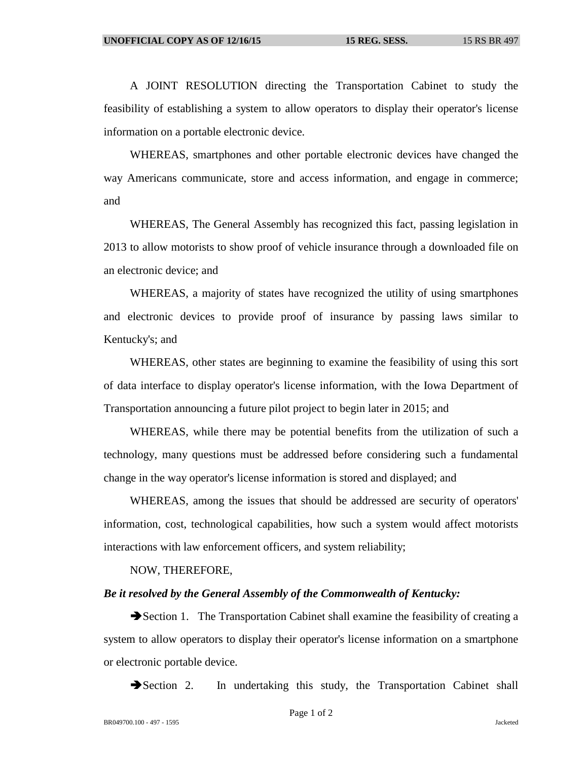A JOINT RESOLUTION directing the Transportation Cabinet to study the feasibility of establishing a system to allow operators to display their operator's license information on a portable electronic device.

WHEREAS, smartphones and other portable electronic devices have changed the way Americans communicate, store and access information, and engage in commerce; and

WHEREAS, The General Assembly has recognized this fact, passing legislation in 2013 to allow motorists to show proof of vehicle insurance through a downloaded file on an electronic device; and

WHEREAS, a majority of states have recognized the utility of using smartphones and electronic devices to provide proof of insurance by passing laws similar to Kentucky's; and

WHEREAS, other states are beginning to examine the feasibility of using this sort of data interface to display operator's license information, with the Iowa Department of Transportation announcing a future pilot project to begin later in 2015; and

WHEREAS, while there may be potential benefits from the utilization of such a technology, many questions must be addressed before considering such a fundamental change in the way operator's license information is stored and displayed; and

WHEREAS, among the issues that should be addressed are security of operators' information, cost, technological capabilities, how such a system would affect motorists interactions with law enforcement officers, and system reliability;

NOW, THEREFORE,

## *Be it resolved by the General Assembly of the Commonwealth of Kentucky:*

Section 1. The Transportation Cabinet shall examine the feasibility of creating a system to allow operators to display their operator's license information on a smartphone or electronic portable device.

Section 2. In undertaking this study, the Transportation Cabinet shall